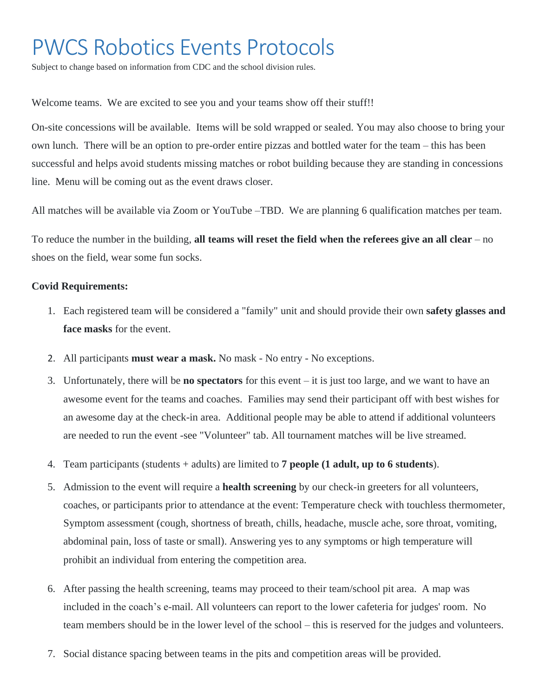## PWCS Robotics Events Protocols

Subject to change based on information from CDC and the school division rules.

Welcome teams. We are excited to see you and your teams show off their stuff!!

On-site concessions will be available. Items will be sold wrapped or sealed. You may also choose to bring your own lunch. There will be an option to pre-order entire pizzas and bottled water for the team – this has been successful and helps avoid students missing matches or robot building because they are standing in concessions line. Menu will be coming out as the event draws closer.

All matches will be available via Zoom or YouTube –TBD. We are planning 6 qualification matches per team.

To reduce the number in the building, **all teams will reset the field when the referees give an all clear** – no shoes on the field, wear some fun socks.

## **Covid Requirements:**

- 1. Each registered team will be considered a "family" unit and should provide their own **safety glasses and face masks** for the event.
- 2. All participants **must wear a mask.** No mask No entry No exceptions.
- 3. Unfortunately, there will be **no spectators** for this event it is just too large, and we want to have an awesome event for the teams and coaches. Families may send their participant off with best wishes for an awesome day at the check-in area. Additional people may be able to attend if additional volunteers are needed to run the event -see "Volunteer" tab. All tournament matches will be live streamed.
- 4. Team participants (students + adults) are limited to **7 people (1 adult, up to 6 students**).
- 5. Admission to the event will require a **health screening** by our check-in greeters for all volunteers, coaches, or participants prior to attendance at the event: Temperature check with touchless thermometer, Symptom assessment (cough, shortness of breath, chills, headache, muscle ache, sore throat, vomiting, abdominal pain, loss of taste or small). Answering yes to any symptoms or high temperature will prohibit an individual from entering the competition area.
- 6. After passing the health screening, teams may proceed to their team/school pit area. A map was included in the coach's e-mail. All volunteers can report to the lower cafeteria for judges' room. No team members should be in the lower level of the school – this is reserved for the judges and volunteers.
- 7. Social distance spacing between teams in the pits and competition areas will be provided.